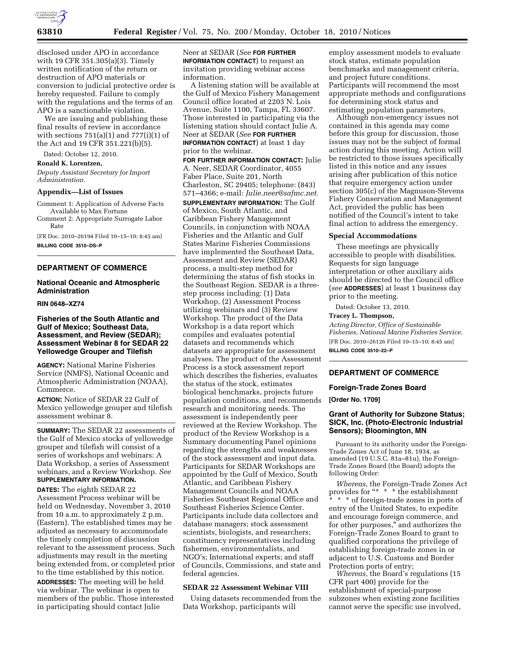

disclosed under APO in accordance with 19 CFR 351.305(a)(3). Timely written notification of the return or destruction of APO materials or conversion to judicial protective order is hereby requested. Failure to comply with the regulations and the terms of an APO is a sanctionable violation.

We are issuing and publishing these final results of review in accordance with sections  $751(a)(1)$  and  $777(i)(1)$  of the Act and 19 CFR 351.221(b)(5).

Dated: October 12, 2010.

# **Ronald K. Lorentzen,**

*Deputy Assistant Secretary for Import Administration.* 

#### **Appendix—List of Issues**

Comment 1: Application of Adverse Facts Available to Max Fortune

Comment 2: Appropriate Surrogate Labor Rate

[FR Doc. 2010–26194 Filed 10–15–10; 8:45 am] **BILLING CODE 3510–DS–P** 

# **DEPARTMENT OF COMMERCE**

## **National Oceanic and Atmospheric Administration**

### **RIN 0648–XZ74**

# **Fisheries of the South Atlantic and Gulf of Mexico; Southeast Data, Assessment, and Review (SEDAR); Assessment Webinar 8 for SEDAR 22 Yellowedge Grouper and Tilefish**

**AGENCY:** National Marine Fisheries Service (NMFS), National Oceanic and Atmospheric Administration (NOAA), Commerce.

**ACTION:** Notice of SEDAR 22 Gulf of Mexico yellowedge grouper and tilefish assessment webinar 8.

**SUMMARY:** The SEDAR 22 assessments of the Gulf of Mexico stocks of yellowedge grouper and tilefish will consist of a series of workshops and webinars: A Data Workshop, a series of Assessment webinars, and a Review Workshop. *See*  **SUPPLEMENTARY INFORMATION.** 

**DATES:** The eighth SEDAR 22 Assessment Process webinar will be held on Wednesday, November 3, 2010 from 10 a.m. to approximately 2 p.m. (Eastern). The established times may be adjusted as necessary to accommodate the timely completion of discussion relevant to the assessment process. Such adjustments may result in the meeting being extended from, or completed prior to the time established by this notice.

**ADDRESSES:** The meeting will be held via webinar. The webinar is open to members of the public. Those interested in participating should contact Julie

Neer at SEDAR (*See* **FOR FURTHER INFORMATION CONTACT**) to request an invitation providing webinar access information.

A listening station will be available at the Gulf of Mexico Fishery Management Council office located at 2203 N. Lois Avenue, Suite 1100, Tampa, FL 33607. Those interested in participating via the listening station should contact Julie A. Neer at SEDAR (*See* **FOR FURTHER INFORMATION CONTACT**) at least 1 day prior to the webinar.

**FOR FURTHER INFORMATION CONTACT:** Julie A. Neer, SEDAR Coordinator, 4055 Faber Place, Suite 201, North Charleston, SC 29405; telephone: (843) 571–4366; e-mail: *[Julie.neer@safmc.net.](mailto:Julie.neer@safmc.net)*  **SUPPLEMENTARY INFORMATION:** The Gulf of Mexico, South Atlantic, and Caribbean Fishery Management Councils, in conjunction with NOAA Fisheries and the Atlantic and Gulf States Marine Fisheries Commissions have implemented the Southeast Data, Assessment and Review (SEDAR) process, a multi-step method for determining the status of fish stocks in the Southeast Region. SEDAR is a threestep process including: (1) Data Workshop, (2) Assessment Process utilizing webinars and (3) Review Workshop. The product of the Data Workshop is a data report which compiles and evaluates potential datasets and recommends which datasets are appropriate for assessment analyses. The product of the Assessment Process is a stock assessment report which describes the fisheries, evaluates the status of the stock, estimates biological benchmarks, projects future population conditions, and recommends research and monitoring needs. The assessment is independently peer reviewed at the Review Workshop. The product of the Review Workshop is a Summary documenting Panel opinions regarding the strengths and weaknesses of the stock assessment and input data. Participants for SEDAR Workshops are appointed by the Gulf of Mexico, South Atlantic, and Caribbean Fishery Management Councils and NOAA Fisheries Southeast Regional Office and Southeast Fisheries Science Center. Participants include data collectors and database managers; stock assessment scientists, biologists, and researchers; constituency representatives including fishermen, environmentalists, and NGO's; International experts; and staff of Councils, Commissions, and state and federal agencies.

#### **SEDAR 22 Assessment Webinar VIII**

Using datasets recommended from the Data Workshop, participants will

employ assessment models to evaluate stock status, estimate population benchmarks and management criteria, and project future conditions. Participants will recommend the most appropriate methods and configurations for determining stock status and estimating population parameters.

Although non-emergency issues not contained in this agenda may come before this group for discussion, those issues may not be the subject of formal action during this meeting. Action will be restricted to those issues specifically listed in this notice and any issues arising after publication of this notice that require emergency action under section 305(c) of the Magnuson-Stevens Fishery Conservation and Management Act, provided the public has been notified of the Council's intent to take final action to address the emergency.

#### **Special Accommodations**

These meetings are physically accessible to people with disabilities. Requests for sign language interpretation or other auxiliary aids should be directed to the Council office (*see* **ADDRESSES**) at least 1 business day prior to the meeting.

Dated: October 13, 2010.

#### **Tracey L. Thompson,**

*Acting Director, Office of Sustainable Fisheries, National Marine Fisheries Service.*  [FR Doc. 2010–26126 Filed 10–15–10; 8:45 am] **BILLING CODE 3510–22–P** 

# **DEPARTMENT OF COMMERCE**

### **Foreign-Trade Zones Board**

#### **[Order No. 1709]**

# **Grant of Authority for Subzone Status; SICK, Inc. (Photo-Electronic Industrial Sensors); Bloomington, MN**

Pursuant to its authority under the Foreign-Trade Zones Act of June 18, 1934, as amended (19 U.S.C. 81a–81u), the Foreign-Trade Zones Board (the Board) adopts the following Order:

*Whereas,* the Foreign-Trade Zones Act provides for ''\* \* \* the establishment \* \* \* of foreign-trade zones in ports of entry of the United States, to expedite and encourage foreign commerce, and for other purposes,'' and authorizes the Foreign-Trade Zones Board to grant to qualified corporations the privilege of establishing foreign-trade zones in or adjacent to U.S. Customs and Border Protection ports of entry;

*Whereas,* the Board's regulations (15 CFR part 400) provide for the establishment of special-purpose subzones when existing zone facilities cannot serve the specific use involved,